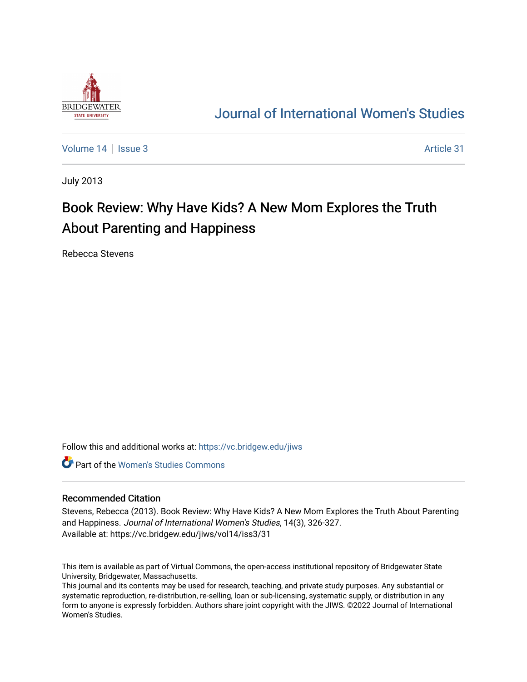

## [Journal of International Women's Studies](https://vc.bridgew.edu/jiws)

[Volume 14](https://vc.bridgew.edu/jiws/vol14) | [Issue 3](https://vc.bridgew.edu/jiws/vol14/iss3) Article 31

July 2013

# Book Review: Why Have Kids? A New Mom Explores the Truth About Parenting and Happiness

Rebecca Stevens

Follow this and additional works at: [https://vc.bridgew.edu/jiws](https://vc.bridgew.edu/jiws?utm_source=vc.bridgew.edu%2Fjiws%2Fvol14%2Fiss3%2F31&utm_medium=PDF&utm_campaign=PDFCoverPages)

**C** Part of the Women's Studies Commons

#### Recommended Citation

Stevens, Rebecca (2013). Book Review: Why Have Kids? A New Mom Explores the Truth About Parenting and Happiness. Journal of International Women's Studies, 14(3), 326-327. Available at: https://vc.bridgew.edu/jiws/vol14/iss3/31

This item is available as part of Virtual Commons, the open-access institutional repository of Bridgewater State University, Bridgewater, Massachusetts.

This journal and its contents may be used for research, teaching, and private study purposes. Any substantial or systematic reproduction, re-distribution, re-selling, loan or sub-licensing, systematic supply, or distribution in any form to anyone is expressly forbidden. Authors share joint copyright with the JIWS. ©2022 Journal of International Women's Studies.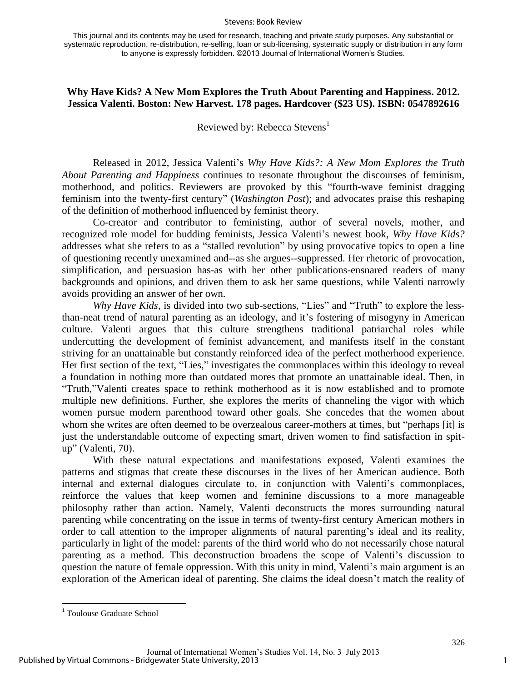#### Stevens: Book Review

This journal and its contents may be used for research, teaching and private study purposes. Any substantial or systematic reproduction, re-distribution, re-selling, loan or sub-licensing, systematic supply or distribution in any form to anyone is expressly forbidden. ©2013 Journal of International Women's Studies.

### **Why Have Kids? A New Mom Explores the Truth About Parenting and Happiness. 2012. Jessica Valenti. Boston: New Harvest. 178 pages. Hardcover (\$23 US). ISBN: 0547892616**

Reviewed by: Rebecca Stevens<sup>1</sup>

Released in 2012, Jessica Valenti's *Why Have Kids?: A New Mom Explores the Truth About Parenting and Happiness* continues to resonate throughout the discourses of feminism, motherhood, and politics. Reviewers are provoked by this "fourth-wave feminist dragging feminism into the twenty-first century" (*Washington Post*); and advocates praise this reshaping of the definition of motherhood influenced by feminist theory.

Co-creator and contributor to feministing, author of several novels, mother, and recognized role model for budding feminists, Jessica Valenti's newest book, *Why Have Kids?*  addresses what she refers to as a "stalled revolution" by using provocative topics to open a line of questioning recently unexamined and--as she argues--suppressed. Her rhetoric of provocation, simplification, and persuasion has-as with her other publications-ensnared readers of many backgrounds and opinions, and driven them to ask her same questions, while Valenti narrowly avoids providing an answer of her own.

*Why Have Kids,* is divided into two sub-sections, "Lies" and "Truth" to explore the lessthan-neat trend of natural parenting as an ideology, and it's fostering of misogyny in American culture. Valenti argues that this culture strengthens traditional patriarchal roles while undercutting the development of feminist advancement, and manifests itself in the constant striving for an unattainable but constantly reinforced idea of the perfect motherhood experience. Her first section of the text, "Lies," investigates the commonplaces within this ideology to reveal a foundation in nothing more than outdated mores that promote an unattainable ideal. Then, in "Truth,"Valenti creates space to rethink motherhood as it is now established and to promote multiple new definitions. Further, she explores the merits of channeling the vigor with which women pursue modern parenthood toward other goals. She concedes that the women about whom she writes are often deemed to be overzealous career-mothers at times, but "perhaps [it] is just the understandable outcome of expecting smart, driven women to find satisfaction in spitup" (Valenti, 70).

With these natural expectations and manifestations exposed, Valenti examines the patterns and stigmas that create these discourses in the lives of her American audience. Both internal and external dialogues circulate to, in conjunction with Valenti's commonplaces, reinforce the values that keep women and feminine discussions to a more manageable philosophy rather than action. Namely, Valenti deconstructs the mores surrounding natural parenting while concentrating on the issue in terms of twenty-first century American mothers in order to call attention to the improper alignments of natural parenting's ideal and its reality, particularly in light of the model: parents of the third world who do not necessarily chose natural parenting as a method. This deconstruction broadens the scope of Valenti's discussion to question the nature of female oppression. With this unity in mind, Valenti's main argument is an exploration of the American ideal of parenting. She claims the ideal doesn't match the reality of

 $\overline{a}$ 

<sup>&</sup>lt;sup>1</sup> Toulouse Graduate School